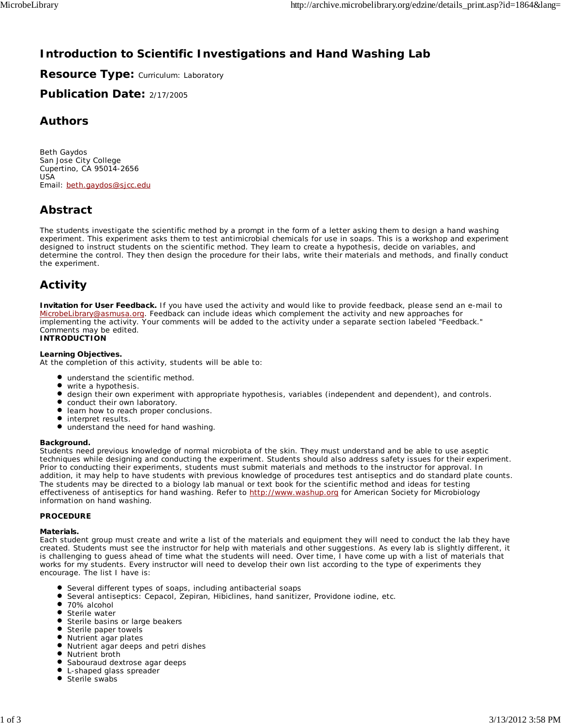# **Introduction to Scientific Investigations and Hand Washing Lab**

**Resource Type: Curriculum: Laboratory** 

**Publication Date:** 2/17/2005

### **Authors**

*Beth Gaydos* San Jose City College Cupertino, CA 95014-2656 USA Email: beth.gaydos@sjcc.edu

# **Abstract**

The students investigate the scientific method by a prompt in the form of a letter asking them to design a hand washing experiment. This experiment asks them to test antimicrobial chemicals for use in soaps. This is a workshop and experiment designed to instruct students on the scientific method. They learn to create a hypothesis, decide on variables, and determine the control. They then design the procedure for their labs, write their materials and methods, and finally conduct the experiment.

# **Activity**

**Invitation for User Feedback.** If you have used the activity and would like to provide feedback, please send an e-mail to MicrobeLibrary@asmusa.org. Feedback can include ideas which complement the activity and new approaches for implementing the activity. Your comments will be added to the activity under a separate section labeled "Feedback." Comments may be edited. **INTRODUCTION**

### **Learning Objectives.**

At the completion of this activity, students will be able to:

- understand the scientific method.
- write a hypothesis.
- $\bullet$ design their own experiment with appropriate hypothesis, variables (independent and dependent), and controls.
- $\bullet$  conduct their own laboratory.
- $\bullet$ learn how to reach proper conclusions.
- $\bullet$  interpret results.
- $\bullet$ understand the need for hand washing.

#### **Background.**

Students need previous knowledge of normal microbiota of the skin. They must understand and be able to use aseptic techniques while designing and conducting the experiment. Students should also address safety issues for their experiment. Prior to conducting their experiments, students must submit materials and methods to the instructor for approval. In addition, it may help to have students with previous knowledge of procedures test antiseptics and do standard plate counts. The students may be directed to a biology lab manual or text book for the scientific method and ideas for testing effectiveness of antiseptics for hand washing. Refer to http://www.washup.org for American Society for Microbiology information on hand washing.

#### **PROCEDURE**

#### **Materials.**

Each student group must create and write a list of the materials and equipment they will need to conduct the lab they have created. Students must see the instructor for help with materials and other suggestions. As every lab is slightly different, it is challenging to guess ahead of time what the students will need. Over time, I have come up with a list of materials that works for my students. Every instructor will need to develop their own list according to the type of experiments they encourage. The list I have is:

- Several different types of soaps, including antibacterial soaps
- Several antiseptics: Cepacol, Zepiran, Hibiclines, hand sanitizer, Providone iodine, etc.
- $\bullet$ 70% alcohol
- Sterile water
- **Sterile basins or large beakers**
- Sterile paper towels
- $\bullet$ Nutrient agar plates
- Nutrient agar deeps and petri dishes
- $\bullet$ Nutrient broth
- $\bullet$ Sabouraud dextrose agar deeps
- ٠ L-shaped glass spreader
- Sterile swabs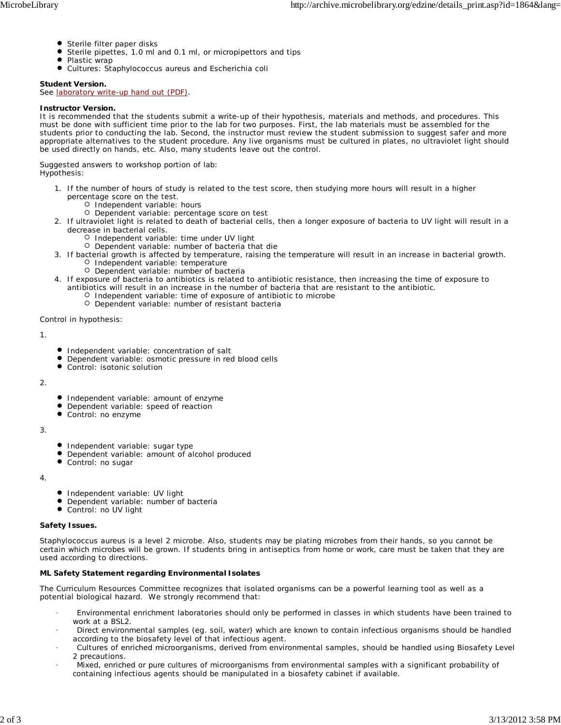- Sterile filter paper disks
- Sterile pipettes, 1.0 ml and 0.1 ml, or micropipettors and tips
- $\bullet$ Plastic wrap
- $\bullet$ Cultures: *Staphylococcus aureus* and *Escherichia coli*

### **Student Version.**

See laboratory write-up hand out (PDF).

### **Instructor Version.**

It is recommended that the students submit a write-up of their hypothesis, materials and methods, and procedures. This must be done with sufficient time prior to the lab for two purposes. First, the lab materials must be assembled for the students prior to conducting the lab. Second, the instructor must review the student submission to suggest safer and more appropriate alternatives to the student procedure. Any live organisms must be cultured in plates, no ultraviolet light should be used directly on hands, etc. Also, many students leave out the control.

Suggested answers to workshop portion of lab: Hypothesis:

- 1. If the number of hours of study is related to the test score, then studying more hours will result in a higher percentage score on the test.
	- O Independent variable: hours
	- O Dependent variable: percentage score on test
- 2. If ultraviolet light is related to death of bacterial cells, then a longer exposure of bacteria to UV light will result in a decrease in bacterial cells.
	- O Independent variable: time under UV light
	- Dependent variable: number of bacteria that die
- 3. If bacterial growth is affected by temperature, raising the temperature will result in an increase in bacterial growth. O Independent variable: temperature
	- O Dependent variable: number of bacteria
- 4. If exposure of bacteria to antibiotics is related to antibiotic resistance, then increasing the time of exposure to antibiotics will result in an increase in the number of bacteria that are resistant to the antibiotic.
	- O Independent variable: time of exposure of antibiotic to microbe Dependent variable: number of resistant bacteria

Control in hypothesis:

1.

- **Independent variable: concentration of salt**
- Dependent variable: osmotic pressure in red blood cells
- Control: isotonic solution

 $\mathcal{L}$ 

- **Independent variable: amount of enzyme**
- Dependent variable: speed of reaction
- Control: no enzyme
- 3.
- **Independent variable: sugar type**
- Dependent variable: amount of alcohol produced
- Control: no sugar

4.

- Independent variable: UV light
- Dependent variable: number of bacteria
- $\bullet$ Control: no UV light

#### **Safety Issues.**

*Staphylococcus aureus* is a level 2 microbe. Also, students may be plating microbes from their hands, so you cannot be certain which microbes will be grown. If students bring in antiseptics from home or work, care must be taken that they are used according to directions.

### **ML Safety Statement regarding Environmental Isolates**

The Curriculum Resources Committee recognizes that isolated organisms can be a powerful learning tool as well as a potential biological hazard. We strongly recommend that:

- · Environmental enrichment laboratories should only be performed in classes in which students have been trained to work at a BSL2.
- · Direct environmental samples (eg. soil, water) which are known to contain infectious organisms should be handled according to the biosafety level of that infectious agent.
- · Cultures of enriched microorganisms, derived from environmental samples, should be handled using Biosafety Level 2 precautions.
- · Mixed, enriched or pure cultures of microorganisms from environmental samples with a significant probability of containing infectious agents should be manipulated in a biosafety cabinet if available.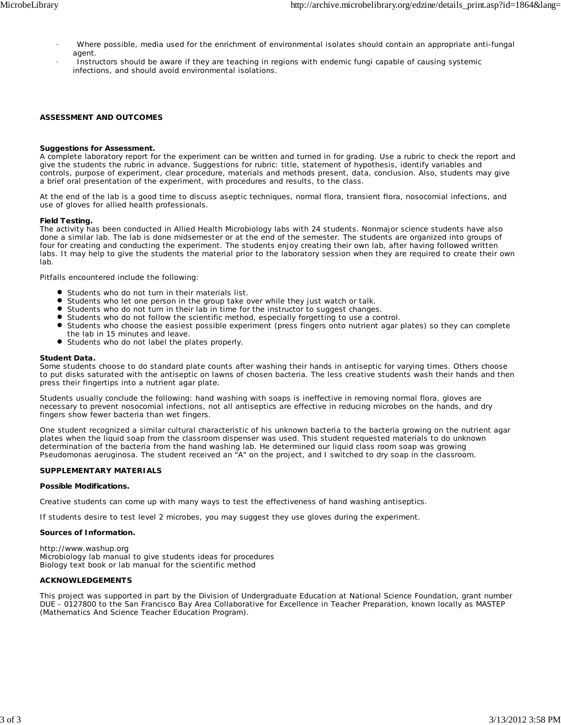- · Where possible, media used for the enrichment of environmental isolates should contain an appropriate anti-fungal agent.
- Instructors should be aware if they are teaching in regions with endemic fungi capable of causing systemic infections, and should avoid environmental isolations.

#### **ASSESSMENT AND OUTCOMES**

#### **Suggestions for Assessment.**

A complete laboratory report for the experiment can be written and turned in for grading. Use a rubric to check the report and give the students the rubric in advance. Suggestions for rubric: title, statement of hypothesis, identify variables and controls, purpose of experiment, clear procedure, materials and methods present, data, conclusion. Also, students may give a brief oral presentation of the experiment, with procedures and results, to the class.

At the end of the lab is a good time to discuss aseptic techniques, normal flora, transient flora, nosocomial infections, and use of gloves for allied health professionals.

#### **Field Testing.**

The activity has been conducted in Allied Health Microbiology labs with 24 students. Nonmajor science students have also done a similar lab. The lab is done midsemester or at the end of the semester. The students are organized into groups of four for creating and conducting the experiment. The students enjoy creating their own lab, after having followed written labs. It may help to give the students the material prior to the laboratory session when they are required to create their own lab.

Pitfalls encountered include the following:

- Students who do not turn in their materials list.
- Students who let one person in the group take over while they just watch or talk.
- Students who do not turn in their lab in time for the instructor to suggest changes.
- Students who do not follow the scientific method, especially forgetting to use a control.
- Students who choose the easiest possible experiment (press fingers onto nutrient agar plates) so they can complete the lab in 15 minutes and leave.
- Students who do not label the plates properly.

#### **Student Data.**

Some students choose to do standard plate counts after washing their hands in antiseptic for varying times. Others choose to put disks saturated with the antiseptic on lawns of chosen bacteria. The less creative students wash their hands and then press their fingertips into a nutrient agar plate.

Students usually conclude the following: hand washing with soaps is ineffective in removing normal flora, gloves are necessary to prevent nosocomial infections, not all antiseptics are effective in reducing microbes on the hands, and dry fingers show fewer bacteria than wet fingers.

One student recognized a similar cultural characteristic of his unknown bacteria to the bacteria growing on the nutrient agar plates when the liquid soap from the classroom dispenser was used. This student requested materials to do unknown determination of the bacteria from the hand washing lab. He determined our liquid class room soap was growing *Pseudomonas aeruginosa*. The student received an "A" on the project, and I switched to dry soap in the classroom.

#### **SUPPLEMENTARY MATERIALS**

#### **Possible Modifications.**

Creative students can come up with many ways to test the effectiveness of hand washing antiseptics.

If students desire to test level 2 microbes, you may suggest they use gloves during the experiment.

#### **Sources of Information.**

http://www.washup.org Microbiology lab manual to give students ideas for procedures Biology text book or lab manual for the scientific method

#### **ACKNOWLEDGEMENTS**

This project was supported in part by the Division of Undergraduate Education at National Science Foundation, grant number DUE - 0127800 to the San Francisco Bay Area Collaborative for Excellence in Teacher Preparation, known locally as MASTEP (Mathematics And Science Teacher Education Program).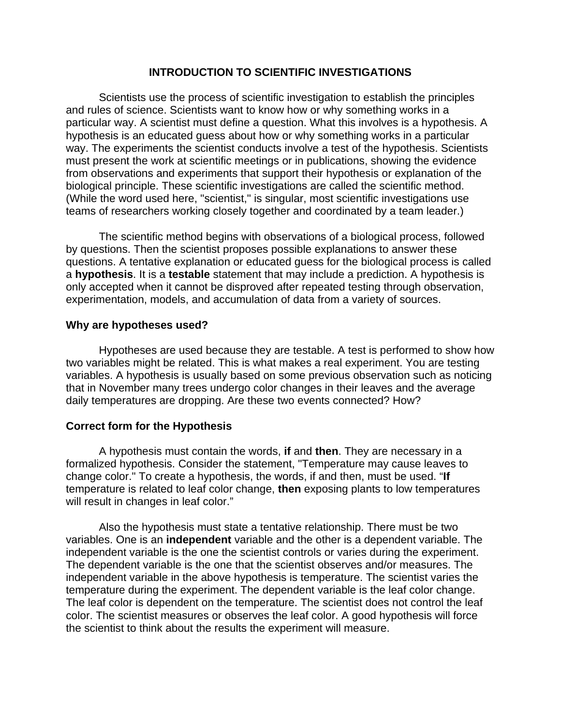### **INTRODUCTION TO SCIENTIFIC INVESTIGATIONS**

Scientists use the process of scientific investigation to establish the principles and rules of science. Scientists want to know how or why something works in a particular way. A scientist must define a question. What this involves is a hypothesis. A hypothesis is an educated guess about how or why something works in a particular way. The experiments the scientist conducts involve a test of the hypothesis. Scientists must present the work at scientific meetings or in publications, showing the evidence from observations and experiments that support their hypothesis or explanation of the biological principle. These scientific investigations are called the scientific method. (While the word used here, "scientist," is singular, most scientific investigations use teams of researchers working closely together and coordinated by a team leader.)

The scientific method begins with observations of a biological process, followed by questions. Then the scientist proposes possible explanations to answer these questions. A tentative explanation or educated guess for the biological process is called a **hypothesis**. It is a **testable** statement that may include a prediction. A hypothesis is only accepted when it cannot be disproved after repeated testing through observation, experimentation, models, and accumulation of data from a variety of sources.

### **Why are hypotheses used?**

Hypotheses are used because they are testable. A test is performed to show how two variables might be related. This is what makes a real experiment. You are testing variables. A hypothesis is usually based on some previous observation such as noticing that in November many trees undergo color changes in their leaves and the average daily temperatures are dropping. Are these two events connected? How?

### **Correct form for the Hypothesis**

A hypothesis must contain the words, **if** and **then**. They are necessary in a formalized hypothesis. Consider the statement, "Temperature may cause leaves to change color." To create a hypothesis, the words, if and then, must be used. "**If**  temperature is related to leaf color change, **then** exposing plants to low temperatures will result in changes in leaf color."

Also the hypothesis must state a tentative relationship. There must be two variables. One is an **independent** variable and the other is a dependent variable. The independent variable is the one the scientist controls or varies during the experiment. The dependent variable is the one that the scientist observes and/or measures. The independent variable in the above hypothesis is temperature. The scientist varies the temperature during the experiment. The dependent variable is the leaf color change. The leaf color is dependent on the temperature. The scientist does not control the leaf color. The scientist measures or observes the leaf color. A good hypothesis will force the scientist to think about the results the experiment will measure.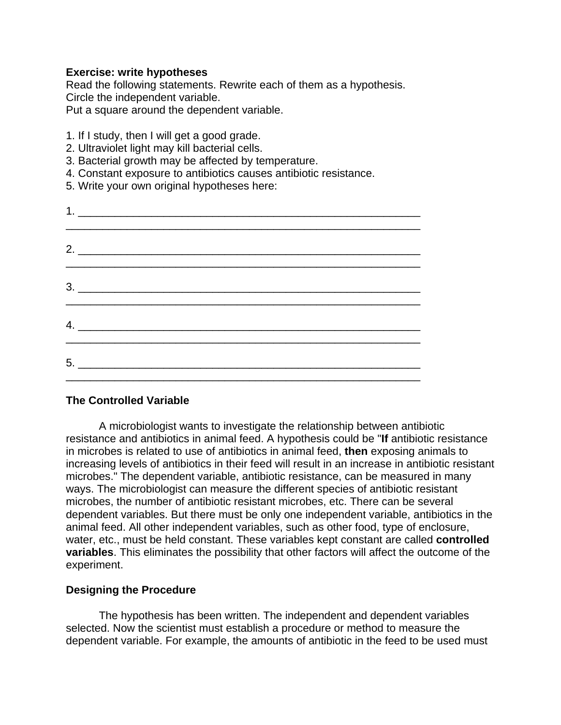### **Exercise: write hypotheses**

Read the following statements. Rewrite each of them as a hypothesis. Circle the independent variable.

Put a square around the dependent variable.

- 1. If I study, then I will get a good grade.
- 2. Ultraviolet light may kill bacterial cells.
- 3. Bacterial growth may be affected by temperature.
- 4. Constant exposure to antibiotics causes antibiotic resistance.
- 5. Write your own original hypotheses here:

| $2.$ $\overline{\phantom{a}}$                                                                                                                                                                                                                                                                                                                                                                                             |  |  |
|---------------------------------------------------------------------------------------------------------------------------------------------------------------------------------------------------------------------------------------------------------------------------------------------------------------------------------------------------------------------------------------------------------------------------|--|--|
| $\begin{array}{c} \n \stackrel{\text{3.}}{=} \quad \quad \text{5.12} \quad \text{5.13} \quad \text{5.14} \quad \text{5.15} \quad \text{5.16} \quad \text{5.16} \quad \text{5.17} \quad \text{5.17} \quad \text{5.18} \quad \text{5.19} \quad \text{5.19} \quad \text{5.19} \quad \text{5.10} \quad \text{5.10} \quad \text{5.11} \quad \text{5.11} \quad \text{5.12} \quad \text{5.12} \quad \text{5.13} \quad \text{5.1$ |  |  |
|                                                                                                                                                                                                                                                                                                                                                                                                                           |  |  |
|                                                                                                                                                                                                                                                                                                                                                                                                                           |  |  |

## **The Controlled Variable**

A microbiologist wants to investigate the relationship between antibiotic resistance and antibiotics in animal feed. A hypothesis could be "**If** antibiotic resistance in microbes is related to use of antibiotics in animal feed, **then** exposing animals to increasing levels of antibiotics in their feed will result in an increase in antibiotic resistant microbes." The dependent variable, antibiotic resistance, can be measured in many ways. The microbiologist can measure the different species of antibiotic resistant microbes, the number of antibiotic resistant microbes, etc. There can be several dependent variables. But there must be only one independent variable, antibiotics in the animal feed. All other independent variables, such as other food, type of enclosure, water, etc., must be held constant. These variables kept constant are called **controlled variables**. This eliminates the possibility that other factors will affect the outcome of the experiment.

### **Designing the Procedure**

The hypothesis has been written. The independent and dependent variables selected. Now the scientist must establish a procedure or method to measure the dependent variable. For example, the amounts of antibiotic in the feed to be used must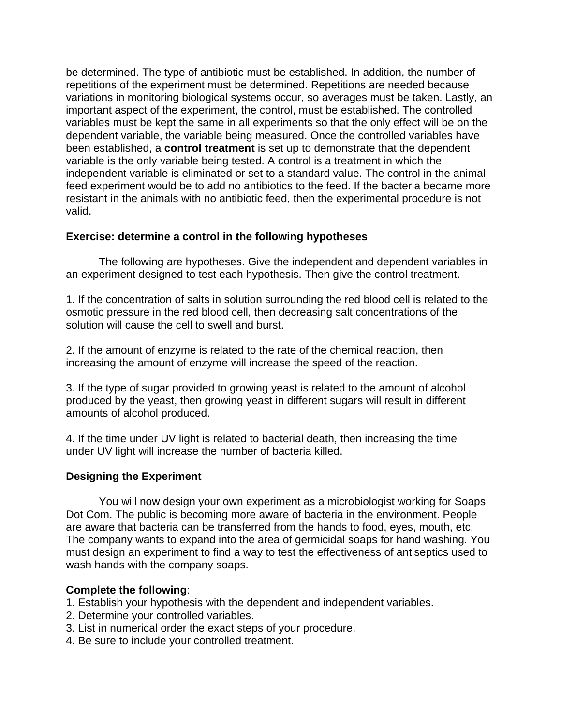be determined. The type of antibiotic must be established. In addition, the number of repetitions of the experiment must be determined. Repetitions are needed because variations in monitoring biological systems occur, so averages must be taken. Lastly, an important aspect of the experiment, the control, must be established. The controlled variables must be kept the same in all experiments so that the only effect will be on the dependent variable, the variable being measured. Once the controlled variables have been established, a **control treatment** is set up to demonstrate that the dependent variable is the only variable being tested. A control is a treatment in which the independent variable is eliminated or set to a standard value. The control in the animal feed experiment would be to add no antibiotics to the feed. If the bacteria became more resistant in the animals with no antibiotic feed, then the experimental procedure is not valid.

## **Exercise: determine a control in the following hypotheses**

The following are hypotheses. Give the independent and dependent variables in an experiment designed to test each hypothesis. Then give the control treatment.

1. If the concentration of salts in solution surrounding the red blood cell is related to the osmotic pressure in the red blood cell, then decreasing salt concentrations of the solution will cause the cell to swell and burst.

2. If the amount of enzyme is related to the rate of the chemical reaction, then increasing the amount of enzyme will increase the speed of the reaction.

3. If the type of sugar provided to growing yeast is related to the amount of alcohol produced by the yeast, then growing yeast in different sugars will result in different amounts of alcohol produced.

4. If the time under UV light is related to bacterial death, then increasing the time under UV light will increase the number of bacteria killed.

## **Designing the Experiment**

You will now design your own experiment as a microbiologist working for Soaps Dot Com. The public is becoming more aware of bacteria in the environment. People are aware that bacteria can be transferred from the hands to food, eyes, mouth, etc. The company wants to expand into the area of germicidal soaps for hand washing. You must design an experiment to find a way to test the effectiveness of antiseptics used to wash hands with the company soaps.

## **Complete the following**:

- 1. Establish your hypothesis with the dependent and independent variables.
- 2. Determine your controlled variables.
- 3. List in numerical order the exact steps of your procedure.
- 4. Be sure to include your controlled treatment.